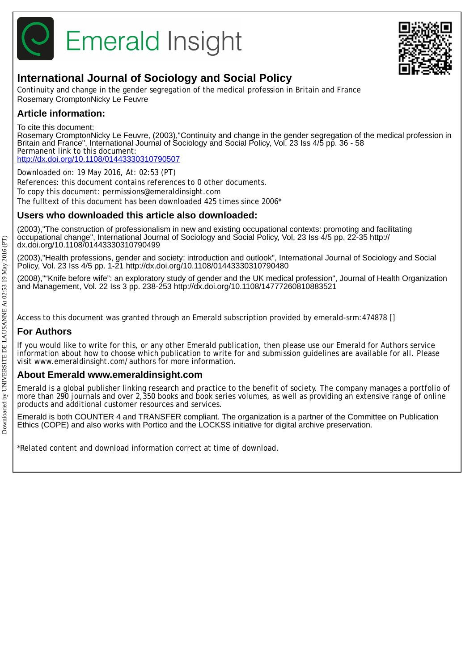

# **Emerald Insight**



## **International Journal of Sociology and Social Policy**

Continuity and change in the gender segregation of the medical profession in Britain and France Rosemary CromptonNicky Le Feuvre

## **Article information:**

To cite this document:

Rosemary CromptonNicky Le Feuvre, (2003),"Continuity and change in the gender segregation of the medical profession in Britain and France", International Journal of Sociology and Social Policy, Vol. 23 Iss 4/5 pp. 36 - 58 Permanent link to this document: <http://dx.doi.org/10.1108/01443330310790507>

Downloaded on: 19 May 2016, At: 02:53 (PT) References: this document contains references to 0 other documents. To copy this document: permissions@emeraldinsight.com The fulltext of this document has been downloaded 425 times since 2006\*

## **Users who downloaded this article also downloaded:**

(2003),"The construction of professionalism in new and existing occupational contexts: promoting and facilitating occupational change", International Journal of Sociology and Social Policy, Vol. 23 Iss 4/5 pp. 22-35 http:// dx.doi.org/10.1108/01443330310790499

(2003),"Health professions, gender and society: introduction and outlook", International Journal of Sociology and Social Policy, Vol. 23 Iss 4/5 pp. 1-21 http://dx.doi.org/10.1108/01443330310790480

(2008),""Knife before wife": an exploratory study of gender and the UK medical profession", Journal of Health Organization and Management, Vol. 22 Iss 3 pp. 238-253 http://dx.doi.org/10.1108/14777260810883521

Access to this document was granted through an Emerald subscription provided by emerald-srm:474878 []

## **For Authors**

If you would like to write for this, or any other Emerald publication, then please use our Emerald for Authors service information about how to choose which publication to write for and submission guidelines are available for all. Please visit www.emeraldinsight.com/authors for more information.

### **About Emerald www.emeraldinsight.com**

Emerald is a global publisher linking research and practice to the benefit of society. The company manages a portfolio of more than 290 journals and over 2,350 books and book series volumes, as well as providing an extensive range of online products and additional customer resources and services.

Emerald is both COUNTER 4 and TRANSFER compliant. The organization is a partner of the Committee on Publication Ethics (COPE) and also works with Portico and the LOCKSS initiative for digital archive preservation.

\*Related content and download information correct at time of download.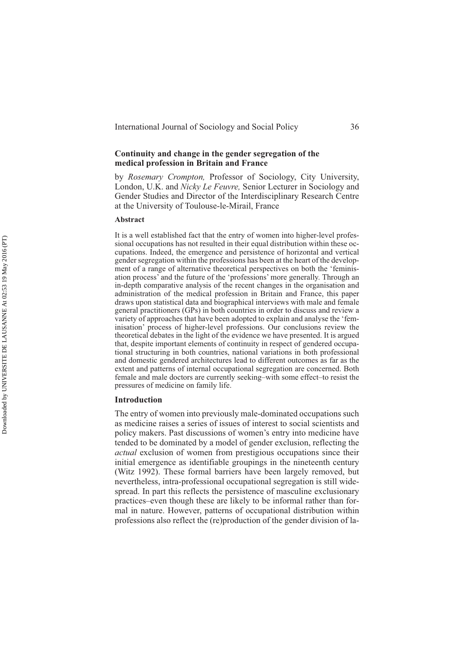#### **Continuity and change in the gender segregation of the medical profession in Britain and France**

by *Rosemary Crompton,* Professor of Sociology, City University, London, U.K. and *Nicky Le Feuvre,* Senior Lecturer in Sociology and Gender Studies and Director of the Interdisciplinary Research Centre at the University of Toulouse-le-Mirail, France

#### **Abstract**

It is a well established fact that the entry of women into higher-level professional occupations has not resulted in their equal distribution within these occupations. Indeed, the emergence and persistence of horizontal and vertical gender segregation within the professions has been at the heart of the development of a range of alternative theoretical perspectives on both the 'feminisation process' and the future of the 'professions' more generally. Through an in-depth comparative analysis of the recent changes in the organisation and administration of the medical profession in Britain and France, this paper draws upon statistical data and biographical interviews with male and female general practitioners (GPs) in both countries in order to discuss and review a variety of approaches that have been adopted to explain and analyse the 'feminisation' process of higher-level professions. Our conclusions review the theoretical debates in the light of the evidence we have presented. It is argued that, despite important elements of continuity in respect of gendered occupational structuring in both countries, national variations in both professional and domestic gendered architectures lead to different outcomes as far as the extent and patterns of internal occupational segregation are concerned. Both female and male doctors are currently seeking–with some effect–to resist the pressures of medicine on family life.

#### **Introduction**

The entry of women into previously male-dominated occupations such as medicine raises a series of issues of interest to social scientists and policy makers. Past discussions of women's entry into medicine have tended to be dominated by a model of gender exclusion, reflecting the *actual* exclusion of women from prestigious occupations since their initial emergence as identifiable groupings in the nineteenth century (Witz 1992). These formal barriers have been largely removed, but nevertheless, intra-professional occupational segregation is still widespread. In part this reflects the persistence of masculine exclusionary practices–even though these are likely to be informal rather than formal in nature. However, patterns of occupational distribution within professions also reflect the (re)production of the gender division of la-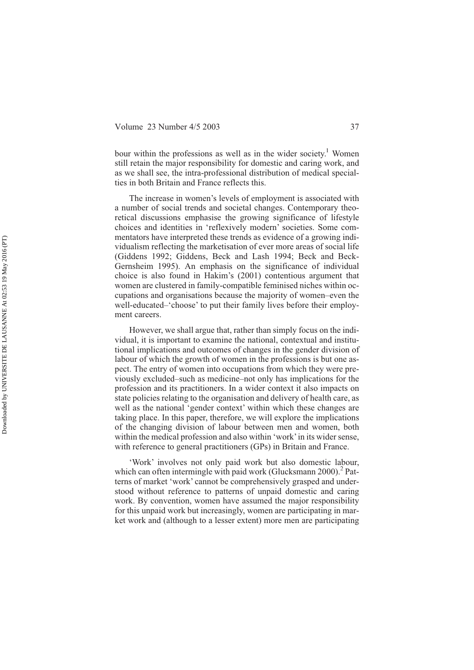bour within the professions as well as in the wider society.<sup>1</sup> Women still retain the major responsibility for domestic and caring work, and as we shall see, the intra-professional distribution of medical specialties in both Britain and France reflects this.

The increase in women's levels of employment is associated with a number of social trends and societal changes. Contemporary theoretical discussions emphasise the growing significance of lifestyle choices and identities in 'reflexively modern' societies. Some commentators have interpreted these trends as evidence of a growing individualism reflecting the marketisation of ever more areas of social life (Giddens 1992; Giddens, Beck and Lash 1994; Beck and Beck-Gernsheim 1995). An emphasis on the significance of individual choice is also found in Hakim's (2001) contentious argument that women are clustered in family-compatible feminised niches within occupations and organisations because the majority of women–even the well-educated–'choose' to put their family lives before their employment careers.

However, we shall argue that, rather than simply focus on the individual, it is important to examine the national, contextual and institutional implications and outcomes of changes in the gender division of labour of which the growth of women in the professions is but one aspect. The entry of women into occupations from which they were previously excluded–such as medicine–not only has implications for the profession and its practitioners. In a wider context it also impacts on state policies relating to the organisation and delivery of health care, as well as the national 'gender context' within which these changes are taking place. In this paper, therefore, we will explore the implications of the changing division of labour between men and women, both within the medical profession and also within 'work'in its wider sense, with reference to general practitioners (GPs) in Britain and France.

'Work' involves not only paid work but also domestic labour, which can often intermingle with paid work (Glucksmann 2000).<sup>2</sup> Patterns of market 'work' cannot be comprehensively grasped and understood without reference to patterns of unpaid domestic and caring work. By convention, women have assumed the major responsibility for this unpaid work but increasingly, women are participating in market work and (although to a lesser extent) more men are participating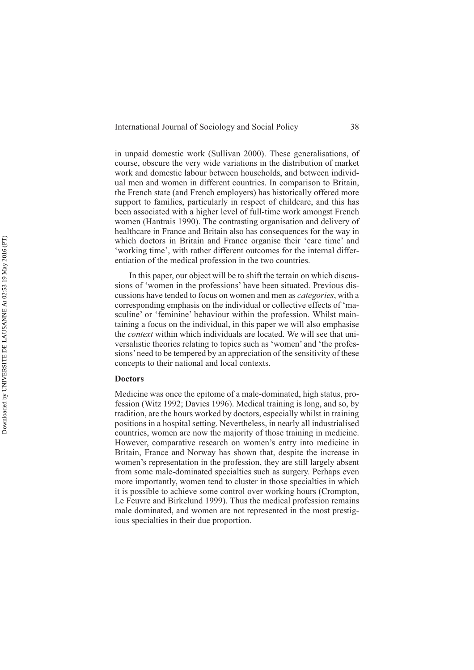in unpaid domestic work (Sullivan 2000). These generalisations, of course, obscure the very wide variations in the distribution of market work and domestic labour between households, and between individual men and women in different countries. In comparison to Britain, the French state (and French employers) has historically offered more support to families, particularly in respect of childcare, and this has been associated with a higher level of full-time work amongst French women (Hantrais 1990). The contrasting organisation and delivery of healthcare in France and Britain also has consequences for the way in which doctors in Britain and France organise their 'care time' and 'working time', with rather different outcomes for the internal differentiation of the medical profession in the two countries.

In this paper, our object will be to shift the terrain on which discussions of 'women in the professions' have been situated. Previous discussions have tended to focus on women and men as *categories*, with a corresponding emphasis on the individual or collective effects of 'masculine' or 'feminine' behaviour within the profession. Whilst maintaining a focus on the individual, in this paper we will also emphasise the *context* within which individuals are located. We will see that universalistic theories relating to topics such as 'women' and 'the professions'need to be tempered by an appreciation of the sensitivity of these concepts to their national and local contexts.

#### **Doctors**

Medicine was once the epitome of a male-dominated, high status, profession (Witz 1992; Davies 1996). Medical training is long, and so, by tradition, are the hours worked by doctors, especially whilst in training positions in a hospital setting. Nevertheless, in nearly all industrialised countries, women are now the majority of those training in medicine. However, comparative research on women's entry into medicine in Britain, France and Norway has shown that, despite the increase in women's representation in the profession, they are still largely absent from some male-dominated specialties such as surgery. Perhaps even more importantly, women tend to cluster in those specialties in which it is possible to achieve some control over working hours (Crompton, Le Feuvre and Birkelund 1999). Thus the medical profession remains male dominated, and women are not represented in the most prestigious specialties in their due proportion.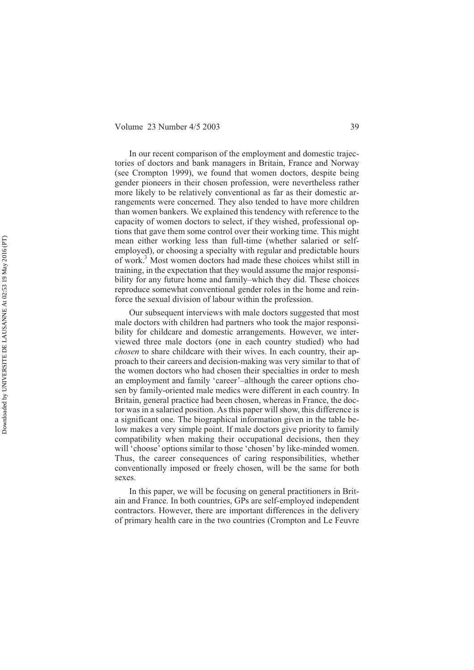In our recent comparison of the employment and domestic trajectories of doctors and bank managers in Britain, France and Norway (see Crompton 1999), we found that women doctors, despite being gender pioneers in their chosen profession, were nevertheless rather more likely to be relatively conventional as far as their domestic arrangements were concerned. They also tended to have more children than women bankers. We explained this tendency with reference to the capacity of women doctors to select, if they wished, professional options that gave them some control over their working time. This might mean either working less than full-time (whether salaried or selfemployed), or choosing a specialty with regular and predictable hours of work.<sup>3</sup> Most women doctors had made these choices whilst still in training, in the expectation that they would assume the major responsibility for any future home and family–which they did. These choices reproduce somewhat conventional gender roles in the home and reinforce the sexual division of labour within the profession.

Our subsequent interviews with male doctors suggested that most male doctors with children had partners who took the major responsibility for childcare and domestic arrangements. However, we interviewed three male doctors (one in each country studied) who had *chosen* to share childcare with their wives. In each country, their approach to their careers and decision-making was very similar to that of the women doctors who had chosen their specialties in order to mesh an employment and family 'career'–although the career options chosen by family-oriented male medics were different in each country. In Britain, general practice had been chosen, whereas in France, the doctor was in a salaried position. As this paper will show, this difference is a significant one. The biographical information given in the table below makes a very simple point. If male doctors give priority to family compatibility when making their occupational decisions, then they will 'choose' options similar to those 'chosen' by like-minded women. Thus, the career consequences of caring responsibilities, whether conventionally imposed or freely chosen, will be the same for both sexes.

In this paper, we will be focusing on general practitioners in Britain and France. In both countries, GPs are self-employed independent contractors. However, there are important differences in the delivery of primary health care in the two countries (Crompton and Le Feuvre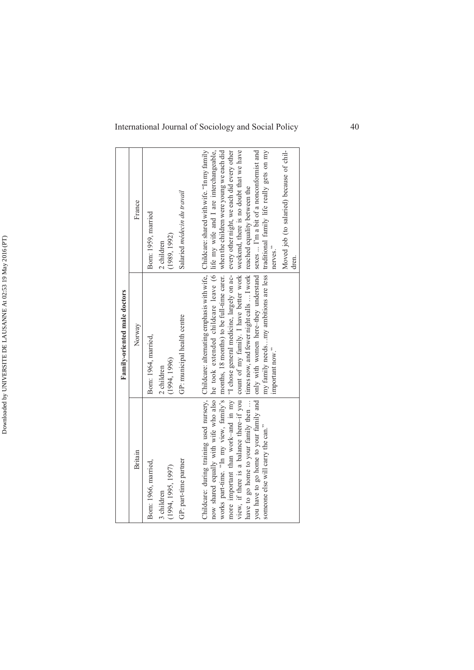|                                    | Family-oriented male doctors                                                                                                                                                                                                                                                                                                                                                                                                                                                                                                                                                                                                                                                                                                                                                                                                                                                                                                                                                                     |                                                               |
|------------------------------------|--------------------------------------------------------------------------------------------------------------------------------------------------------------------------------------------------------------------------------------------------------------------------------------------------------------------------------------------------------------------------------------------------------------------------------------------------------------------------------------------------------------------------------------------------------------------------------------------------------------------------------------------------------------------------------------------------------------------------------------------------------------------------------------------------------------------------------------------------------------------------------------------------------------------------------------------------------------------------------------------------|---------------------------------------------------------------|
| Britain                            | Norway                                                                                                                                                                                                                                                                                                                                                                                                                                                                                                                                                                                                                                                                                                                                                                                                                                                                                                                                                                                           | France                                                        |
| Born: 1966, married,<br>3 children | Born: 1964, married,<br>2 children                                                                                                                                                                                                                                                                                                                                                                                                                                                                                                                                                                                                                                                                                                                                                                                                                                                                                                                                                               | Bom: 1959, married<br>2 children                              |
| (1994, 1995, 1997)                 | (1994, 1996)                                                                                                                                                                                                                                                                                                                                                                                                                                                                                                                                                                                                                                                                                                                                                                                                                                                                                                                                                                                     | (1989, 1992)                                                  |
| GP: part-time partner              | GP: municipal health centre                                                                                                                                                                                                                                                                                                                                                                                                                                                                                                                                                                                                                                                                                                                                                                                                                                                                                                                                                                      | Salaried médecin du travail                                   |
| someone else will carry the can."  | Childcare: during training used nursery, Childcare: alternating emphasis with wife, Childcare: shared with wife. "In my family<br>works part-time. "In my view, family's months, 18 months) to be full-time carer. when the children were young we each did<br>more important than work-and in my   "I chose general medicine, largely on ac-   every other night, we each did every other<br>view, if there is a balance there-if you count of my family. I have better work weekend, there is no doubt that we have<br>you have to go home to your family and $\vert$ only with women here-they understand sexes  I'm a bit of a nonconformist and<br>my family needsmy ambitions are less traditional family life really gets on my<br>now shared equally with wife who also he took extended childcare leave (6 life my wife and I are interchangeable,<br>have to go home to your family then    times now, and fewer night calls  I work   reached equality between the<br>important now." | Moved job (to salaried) because of chil-<br>nerves."<br>dren. |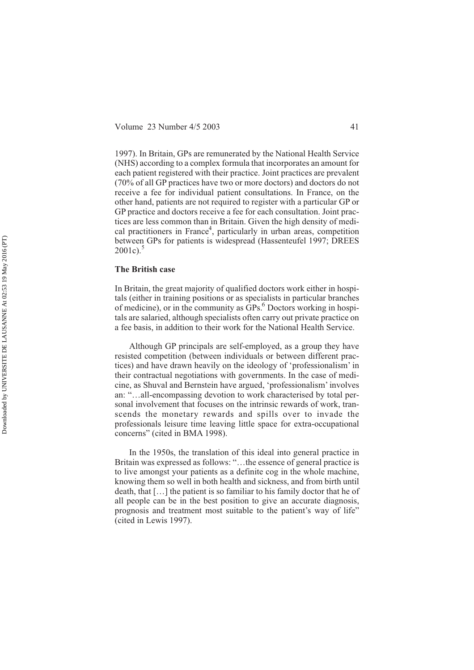1997). In Britain, GPs are remunerated by the National Health Service (NHS) according to a complex formula that incorporates an amount for each patient registered with their practice. Joint practices are prevalent (70% of all GP practices have two or more doctors) and doctors do not receive a fee for individual patient consultations. In France, on the other hand, patients are not required to register with a particular GP or GP practice and doctors receive a fee for each consultation. Joint practices are less common than in Britain. Given the high density of medical practitioners in France<sup>4</sup>, particularly in urban areas, competition between GPs for patients is widespread (Hassenteufel 1997; DREES  $2001c$ ).

#### **The British case**

In Britain, the great majority of qualified doctors work either in hospitals (either in training positions or as specialists in particular branches of medicine), or in the community as  $\overline{G}$ Ps.<sup>6</sup> Doctors working in hospitals are salaried, although specialists often carry out private practice on a fee basis, in addition to their work for the National Health Service.

Although GP principals are self-employed, as a group they have resisted competition (between individuals or between different practices) and have drawn heavily on the ideology of 'professionalism' in their contractual negotiations with governments. In the case of medicine, as Shuval and Bernstein have argued, 'professionalism' involves an: "…all-encompassing devotion to work characterised by total personal involvement that focuses on the intrinsic rewards of work, transcends the monetary rewards and spills over to invade the professionals leisure time leaving little space for extra-occupational concerns" (cited in BMA 1998).

In the 1950s, the translation of this ideal into general practice in Britain was expressed as follows: "…the essence of general practice is to live amongst your patients as a definite cog in the whole machine, knowing them so well in both health and sickness, and from birth until death, that […] the patient is so familiar to his family doctor that he of all people can be in the best position to give an accurate diagnosis, prognosis and treatment most suitable to the patient's way of life" (cited in Lewis 1997).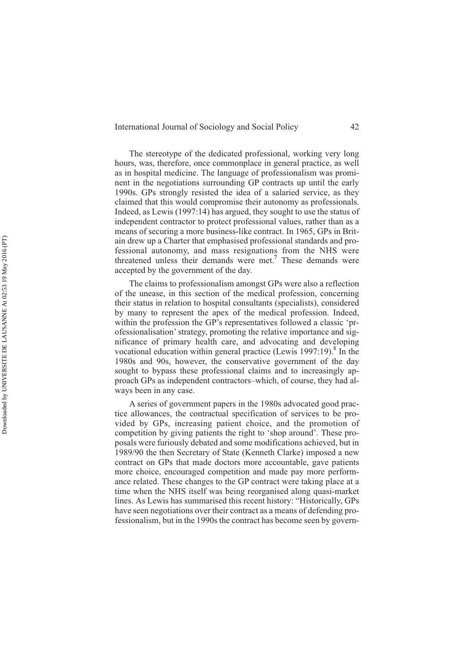The stereotype of the dedicated professional, working very long hours, was, therefore, once commonplace in general practice, as well as in hospital medicine. The language of professionalism was prominent in the negotiations surrounding GP contracts up until the early 1990s. GPs strongly resisted the idea of a salaried service, as they claimed that this would compromise their autonomy as professionals. Indeed, as Lewis (1997:14) has argued, they sought to use the status of independent contractor to protect professional values, rather than as a means of securing a more business-like contract. In 1965, GPs in Britain drew up a Charter that emphasised professional standards and professional autonomy, and mass resignations from the NHS were threatened unless their demands were met.<sup>7</sup> These demands were accepted by the government of the day.

The claims to professionalism amongst GPs were also a reflection of the unease, in this section of the medical profession, concerning their status in relation to hospital consultants (specialists), considered by many to represent the apex of the medical profession. Indeed, within the profession the GP's representatives followed a classic 'professionalisation' strategy, promoting the relative importance and significance of primary health care, and advocating and developing vocational education within general practice (Lewis 1997:19). $8$  In the 1980s and 90s, however, the conservative government of the day sought to bypass these professional claims and to increasingly approach GPs as independent contractors–which, of course, they had always been in any case.

A series of government papers in the 1980s advocated good practice allowances, the contractual specification of services to be provided by GPs, increasing patient choice, and the promotion of competition by giving patients the right to 'shop around'. These proposals were furiously debated and some modifications achieved, but in 1989/90 the then Secretary of State (Kenneth Clarke) imposed a new contract on GPs that made doctors more accountable, gave patients more choice, encouraged competition and made pay more performance related. These changes to the GP contract were taking place at a time when the NHS itself was being reorganised along quasi-market lines. As Lewis has summarised this recent history: "Historically, GPs have seen negotiations over their contract as a means of defending professionalism, but in the 1990s the contract has become seen by govern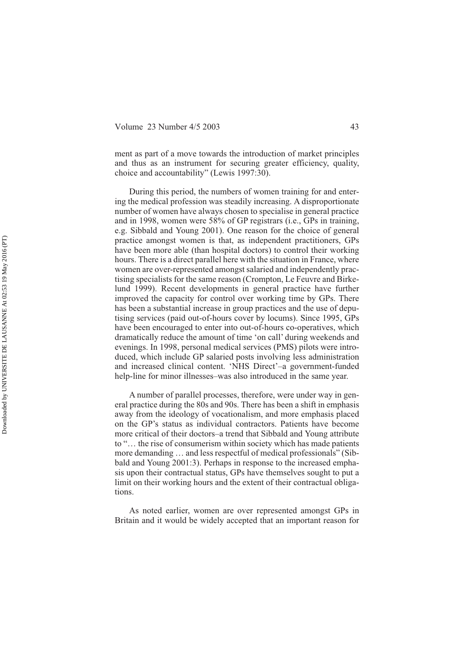ment as part of a move towards the introduction of market principles and thus as an instrument for securing greater efficiency, quality, choice and accountability" (Lewis 1997:30).

During this period, the numbers of women training for and entering the medical profession was steadily increasing. A disproportionate number of women have always chosen to specialise in general practice and in 1998, women were 58% of GP registrars (i.e., GPs in training, e.g. Sibbald and Young 2001). One reason for the choice of general practice amongst women is that, as independent practitioners, GPs have been more able (than hospital doctors) to control their working hours. There is a direct parallel here with the situation in France, where women are over-represented amongst salaried and independently practising specialists for the same reason (Crompton, Le Feuvre and Birkelund 1999). Recent developments in general practice have further improved the capacity for control over working time by GPs. There has been a substantial increase in group practices and the use of deputising services (paid out-of-hours cover by locums). Since 1995, GPs have been encouraged to enter into out-of-hours co-operatives, which dramatically reduce the amount of time 'on call' during weekends and evenings. In 1998, personal medical services (PMS) pilots were introduced, which include GP salaried posts involving less administration and increased clinical content. 'NHS Direct'–a government-funded help-line for minor illnesses–was also introduced in the same year.

A number of parallel processes, therefore, were under way in general practice during the 80s and 90s. There has been a shift in emphasis away from the ideology of vocationalism, and more emphasis placed on the GP's status as individual contractors. Patients have become more critical of their doctors–a trend that Sibbald and Young attribute to "… the rise of consumerism within society which has made patients more demanding … and less respectful of medical professionals" (Sibbald and Young 2001:3). Perhaps in response to the increased emphasis upon their contractual status, GPs have themselves sought to put a limit on their working hours and the extent of their contractual obligations.

As noted earlier, women are over represented amongst GPs in Britain and it would be widely accepted that an important reason for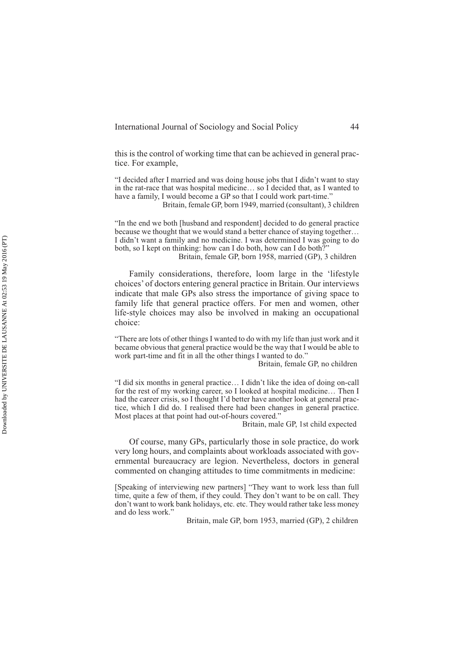this is the control of working time that can be achieved in general practice. For example,

"I decided after I married and was doing house jobs that I didn't want to stay in the rat-race that was hospital medicine… so I decided that, as I wanted to have a family, I would become a GP so that I could work part-time."

Britain, female GP, born 1949, married (consultant), 3 children

"In the end we both [husband and respondent] decided to do general practice because we thought that we would stand a better chance of staying together… I didn't want a family and no medicine. I was determined I was going to do both, so I kept on thinking: how can I do both, how can I do both?" Britain, female GP, born 1958, married (GP), 3 children

Family considerations, therefore, loom large in the 'lifestyle choices' of doctors entering general practice in Britain. Our interviews indicate that male GPs also stress the importance of giving space to family life that general practice offers. For men and women, other life-style choices may also be involved in making an occupational choice:

"There are lots of other things I wanted to do with my life than just work and it became obvious that general practice would be the way that I would be able to work part-time and fit in all the other things I wanted to do."

Britain, female GP, no children

"I did six months in general practice… I didn't like the idea of doing on-call for the rest of my working career, so I looked at hospital medicine… Then I had the career crisis, so I thought I'd better have another look at general practice, which I did do. I realised there had been changes in general practice. Most places at that point had out-of-hours covered."

Britain, male GP, 1st child expected

Of course, many GPs, particularly those in sole practice, do work very long hours, and complaints about workloads associated with governmental bureaucracy are legion. Nevertheless, doctors in general commented on changing attitudes to time commitments in medicine:

[Speaking of interviewing new partners] "They want to work less than full time, quite a few of them, if they could. They don't want to be on call. They don't want to work bank holidays, etc. etc. They would rather take less money and do less work."

Britain, male GP, born 1953, married (GP), 2 children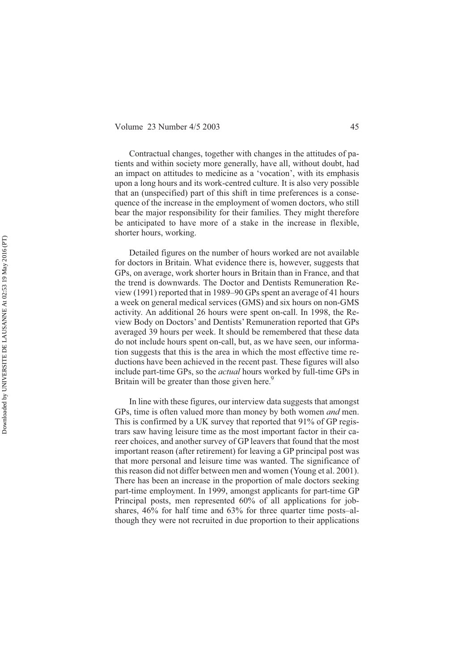Contractual changes, together with changes in the attitudes of patients and within society more generally, have all, without doubt, had an impact on attitudes to medicine as a 'vocation', with its emphasis upon a long hours and its work-centred culture. It is also very possible that an (unspecified) part of this shift in time preferences is a consequence of the increase in the employment of women doctors, who still bear the major responsibility for their families. They might therefore be anticipated to have more of a stake in the increase in flexible, shorter hours, working.

Detailed figures on the number of hours worked are not available for doctors in Britain. What evidence there is, however, suggests that GPs, on average, work shorter hours in Britain than in France, and that the trend is downwards. The Doctor and Dentists Remuneration Review (1991) reported that in 1989–90 GPs spent an average of 41 hours a week on general medical services (GMS) and six hours on non-GMS activity. An additional 26 hours were spent on-call. In 1998, the Review Body on Doctors' and Dentists' Remuneration reported that GPs averaged 39 hours per week. It should be remembered that these data do not include hours spent on-call, but, as we have seen, our information suggests that this is the area in which the most effective time reductions have been achieved in the recent past. These figures will also include part-time GPs, so the *actual* hours worked by full-time GPs in Britain will be greater than those given here.<sup>9</sup>

In line with these figures, our interview data suggests that amongst GPs, time is often valued more than money by both women *and* men. This is confirmed by a UK survey that reported that 91% of GP registrars saw having leisure time as the most important factor in their career choices, and another survey of GP leavers that found that the most important reason (after retirement) for leaving a GP principal post was that more personal and leisure time was wanted. The significance of this reason did not differ between men and women (Young et al. 2001). There has been an increase in the proportion of male doctors seeking part-time employment. In 1999, amongst applicants for part-time GP Principal posts, men represented 60% of all applications for jobshares, 46% for half time and 63% for three quarter time posts–although they were not recruited in due proportion to their applications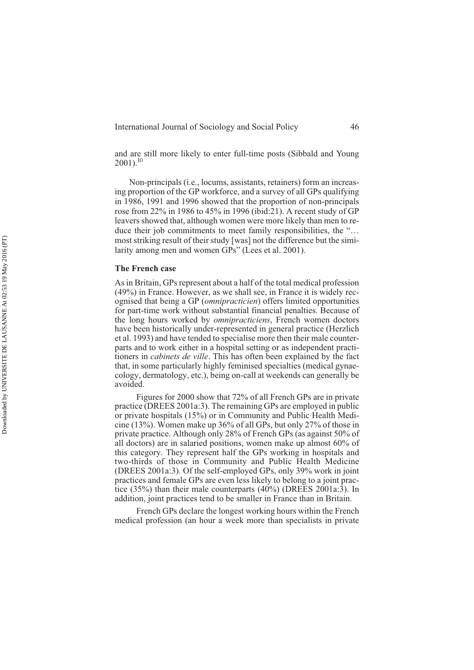and are still more likely to enter full-time posts (Sibbald and Young  $2001$ ).<sup>10</sup>

Non-principals (i.e., locums, assistants, retainers) form an increasing proportion of the GP workforce, and a survey of all GPs qualifying in 1986, 1991 and 1996 showed that the proportion of non-principals rose from 22% in 1986 to 45% in 1996 (ibid:21). A recent study of GP leavers showed that, although women were more likely than men to reduce their job commitments to meet family responsibilities, the "... most striking result of their study [was] not the difference but the similarity among men and women GPs" (Lees et al. 2001).

#### **The French case**

As in Britain, GPs represent about a half of the total medical profession (49%) in France. However, as we shall see, in France it is widely recognised that being a GP (*omnipracticien*) offers limited opportunities for part-time work without substantial financial penalties. Because of the long hours worked by *omnipracticiens*, French women doctors have been historically under-represented in general practice (Herzlich et al. 1993) and have tended to specialise more then their male counterparts and to work either in a hospital setting or as independent practitioners in *cabinets de ville*. This has often been explained by the fact that, in some particularly highly feminised specialties (medical gynaecology, dermatology, etc.), being on-call at weekends can generally be avoided.

Figures for 2000 show that 72% of all French GPs are in private practice (DREES 2001a:3). The remaining GPs are employed in public or private hospitals (15%) or in Community and Public Health Medicine (13%). Women make up 36% of all GPs, but only 27% of those in private practice. Although only 28% of French GPs (as against 50% of all doctors) are in salaried positions, women make up almost 60% of this category. They represent half the GPs working in hospitals and two-thirds of those in Community and Public Health Medicine (DREES 2001a:3). Of the self-employed GPs, only 39% work in joint practices and female GPs are even less likely to belong to a joint practice (35%) than their male counterparts (40%) (DREES 2001a:3). In addition, joint practices tend to be smaller in France than in Britain.

French GPs declare the longest working hours within the French medical profession (an hour a week more than specialists in private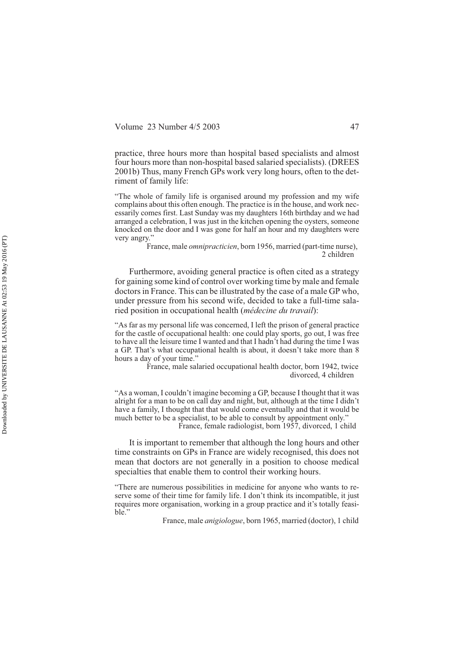practice, three hours more than hospital based specialists and almost four hours more than non-hospital based salaried specialists). (DREES 2001b) Thus, many French GPs work very long hours, often to the detriment of family life:

"The whole of family life is organised around my profession and my wife complains about this often enough. The practice is in the house, and work necessarily comes first. Last Sunday was my daughters 16th birthday and we had arranged a celebration, I was just in the kitchen opening the oysters, someone knocked on the door and I was gone for half an hour and my daughters were very angry."

> France, male *omnipracticien*, born 1956, married (part-time nurse), 2 children

Furthermore, avoiding general practice is often cited as a strategy for gaining some kind of control over working time by male and female doctors in France. This can be illustrated by the case of a male GP who, under pressure from his second wife, decided to take a full-time salaried position in occupational health (*médecine du travail*):

"As far as my personal life was concerned, I left the prison of general practice for the castle of occupational health: one could play sports, go out, I was free to have all the leisure time I wanted and that I hadn't had during the time I was a GP. That's what occupational health is about, it doesn't take more than 8 hours a day of your time."

> France, male salaried occupational health doctor, born 1942, twice divorced, 4 children

"As a woman, I couldn't imagine becoming a GP, because I thought that it was alright for a man to be on call day and night, but, although at the time I didn't have a family, I thought that that would come eventually and that it would be much better to be a specialist, to be able to consult by appointment only." France, female radiologist, born 1957, divorced, 1 child

It is important to remember that although the long hours and other time constraints on GPs in France are widely recognised, this does not mean that doctors are not generally in a position to choose medical specialties that enable them to control their working hours.

"There are numerous possibilities in medicine for anyone who wants to reserve some of their time for family life. I don't think its incompatible, it just requires more organisation, working in a group practice and it's totally feasible."

France, male *anigiologue*, born 1965, married (doctor), 1 child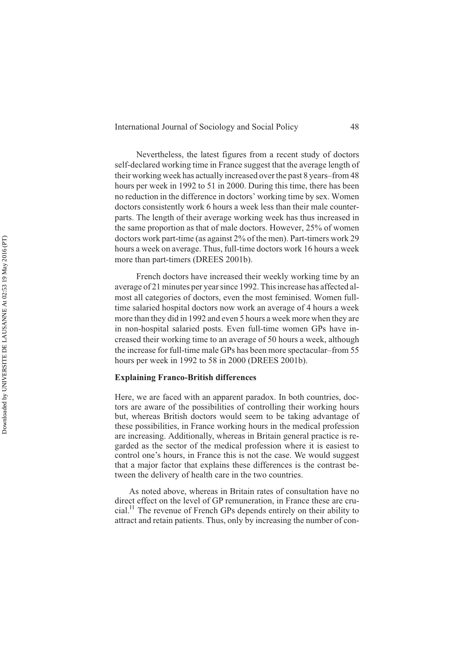Nevertheless, the latest figures from a recent study of doctors self-declared working time in France suggest that the average length of their working week has actually increased over the past 8 years–from 48 hours per week in 1992 to 51 in 2000. During this time, there has been no reduction in the difference in doctors' working time by sex. Women doctors consistently work 6 hours a week less than their male counterparts. The length of their average working week has thus increased in the same proportion as that of male doctors. However, 25% of women doctors work part-time (as against 2% of the men). Part-timers work 29 hours a week on average. Thus, full-time doctors work 16 hours a week more than part-timers (DREES 2001b).

French doctors have increased their weekly working time by an average of 21 minutes per year since 1992. This increase has affected almost all categories of doctors, even the most feminised. Women fulltime salaried hospital doctors now work an average of 4 hours a week more than they did in 1992 and even 5 hours a week more when they are in non-hospital salaried posts. Even full-time women GPs have increased their working time to an average of 50 hours a week, although the increase for full-time male GPs has been more spectacular–from 55 hours per week in 1992 to 58 in 2000 (DREES 2001b).

#### **Explaining Franco-British differences**

Here, we are faced with an apparent paradox. In both countries, doctors are aware of the possibilities of controlling their working hours but, whereas British doctors would seem to be taking advantage of these possibilities, in France working hours in the medical profession are increasing. Additionally, whereas in Britain general practice is regarded as the sector of the medical profession where it is easiest to control one's hours, in France this is not the case. We would suggest that a major factor that explains these differences is the contrast between the delivery of health care in the two countries.

As noted above, whereas in Britain rates of consultation have no direct effect on the level of GP remuneration, in France these are crucial.<sup>11</sup> The revenue of French GPs depends entirely on their ability to attract and retain patients. Thus, only by increasing the number of con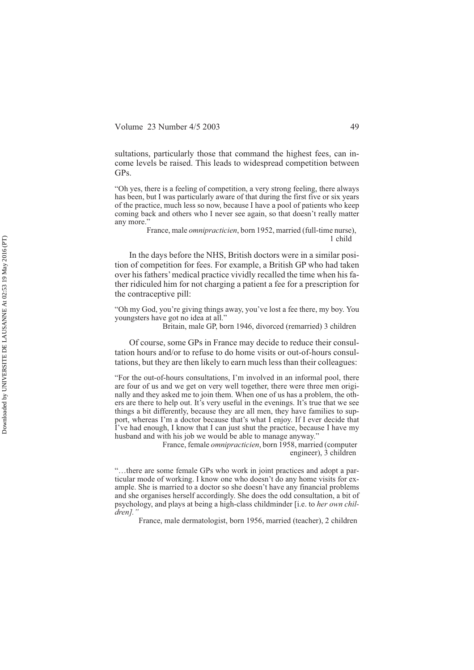sultations, particularly those that command the highest fees, can income levels be raised. This leads to widespread competition between GPs.

"Oh yes, there is a feeling of competition, a very strong feeling, there always has been, but I was particularly aware of that during the first five or six years of the practice, much less so now, because I have a pool of patients who keep coming back and others who I never see again, so that doesn't really matter any more."

France, male *omnipracticien*, born 1952, married (full-time nurse), 1 child

In the days before the NHS, British doctors were in a similar position of competition for fees. For example, a British GP who had taken over his fathers'medical practice vividly recalled the time when his father ridiculed him for not charging a patient a fee for a prescription for the contraceptive pill:

"Oh my God, you're giving things away, you've lost a fee there, my boy. You youngsters have got no idea at all."

Britain, male GP, born 1946, divorced (remarried) 3 children

Of course, some GPs in France may decide to reduce their consultation hours and/or to refuse to do home visits or out-of-hours consultations, but they are then likely to earn much less than their colleagues:

"For the out-of-hours consultations, I'm involved in an informal pool, there are four of us and we get on very well together, there were three men originally and they asked me to join them. When one of us has a problem, the others are there to help out. It's very useful in the evenings. It's true that we see things a bit differently, because they are all men, they have families to support, whereas I'm a doctor because that's what I enjoy. If I ever decide that I've had enough, I know that I can just shut the practice, because I have my husband and with his job we would be able to manage anyway."

France, female *omnipracticien*, born 1958, married (computer engineer), 3 children

"…there are some female GPs who work in joint practices and adopt a particular mode of working. I know one who doesn't do any home visits for example. She is married to a doctor so she doesn't have any financial problems and she organises herself accordingly. She does the odd consultation, a bit of psychology, and plays at being a high-class childminder [i.e. to *her own children]."*

France, male dermatologist, born 1956, married (teacher), 2 children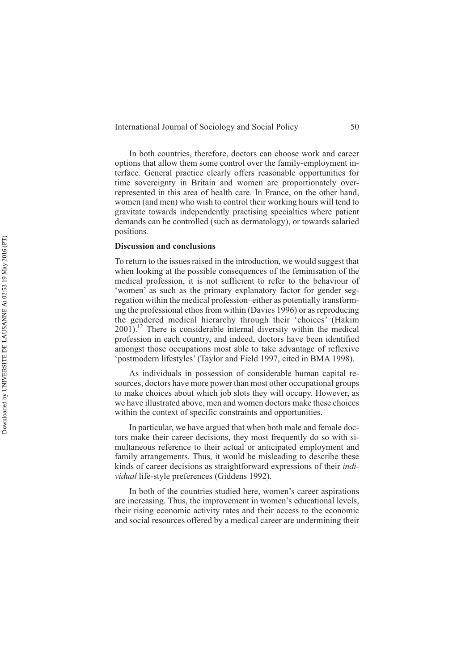In both countries, therefore, doctors can choose work and career options that allow them some control over the family-employment interface. General practice clearly offers reasonable opportunities for time sovereignty in Britain and women are proportionately overrepresented in this area of health care. In France, on the other hand, women (and men) who wish to control their working hours will tend to gravitate towards independently practising specialties where patient demands can be controlled (such as dermatology), or towards salaried positions*.*

#### **Discussion and conclusions**

To return to the issues raised in the introduction, we would suggest that when looking at the possible consequences of the feminisation of the medical profession, it is not sufficient to refer to the behaviour of 'women' as such as the primary explanatory factor for gender segregation within the medical profession–either as potentially transforming the professional ethos from within (Davies 1996) or as reproducing the gendered medical hierarchy through their 'choices' (Hakim  $2001$ ).<sup>12</sup> There is considerable internal diversity within the medical profession in each country, and indeed, doctors have been identified amongst those occupations most able to take advantage of reflexive 'postmodern lifestyles' (Taylor and Field 1997, cited in BMA 1998).

As individuals in possession of considerable human capital resources, doctors have more power than most other occupational groups to make choices about which job slots they will occupy. However, as we have illustrated above, men and women doctors make these choices within the context of specific constraints and opportunities.

In particular, we have argued that when both male and female doctors make their career decisions, they most frequently do so with simultaneous reference to their actual or anticipated employment and family arrangements. Thus, it would be misleading to describe these kinds of career decisions as straightforward expressions of their *individual* life-style preferences (Giddens 1992).

In both of the countries studied here, women's career aspirations are increasing. Thus, the improvement in women's educational levels, their rising economic activity rates and their access to the economic and social resources offered by a medical career are undermining their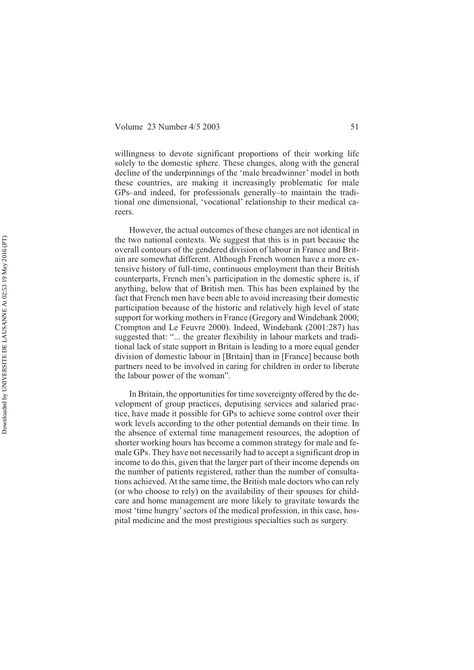#### Volume 23 Number 4/5 2003 51

willingness to devote significant proportions of their working life solely to the domestic sphere. These changes, along with the general decline of the underpinnings of the 'male breadwinner' model in both these countries, are making it increasingly problematic for male GPs–and indeed, for professionals generally–to maintain the traditional one dimensional, 'vocational' relationship to their medical careers.

However, the actual outcomes of these changes are not identical in the two national contexts. We suggest that this is in part because the overall contours of the gendered division of labour in France and Britain are somewhat different. Although French women have a more extensive history of full-time, continuous employment than their British counterparts, French men's participation in the domestic sphere is, if anything, below that of British men. This has been explained by the fact that French men have been able to avoid increasing their domestic participation because of the historic and relatively high level of state support for working mothers in France (Gregory and Windebank 2000; Crompton and Le Feuvre 2000). Indeed, Windebank (2001:287) has suggested that: "... the greater flexibility in labour markets and traditional lack of state support in Britain is leading to a more equal gender division of domestic labour in [Britain] than in [France] because both partners need to be involved in caring for children in order to liberate the labour power of the woman".

In Britain, the opportunities for time sovereignty offered by the development of group practices, deputising services and salaried practice, have made it possible for GPs to achieve some control over their work levels according to the other potential demands on their time. In the absence of external time management resources, the adoption of shorter working hours has become a common strategy for male and female GPs. They have not necessarily had to accept a significant drop in income to do this, given that the larger part of their income depends on the number of patients registered, rather than the number of consultations achieved. At the same time, the British male doctors who can rely (or who choose to rely) on the availability of their spouses for childcare and home management are more likely to gravitate towards the most 'time hungry' sectors of the medical profession, in this case, hospital medicine and the most prestigious specialties such as surgery.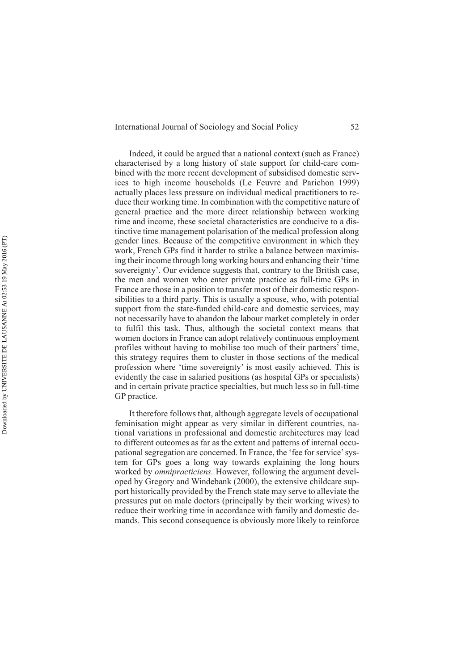Indeed, it could be argued that a national context (such as France) characterised by a long history of state support for child-care combined with the more recent development of subsidised domestic services to high income households (Le Feuvre and Parichon 1999) actually places less pressure on individual medical practitioners to reduce their working time. In combination with the competitive nature of general practice and the more direct relationship between working time and income, these societal characteristics are conducive to a distinctive time management polarisation of the medical profession along gender lines. Because of the competitive environment in which they work, French GPs find it harder to strike a balance between maximising their income through long working hours and enhancing their 'time sovereignty'. Our evidence suggests that, contrary to the British case, the men and women who enter private practice as full-time GPs in France are those in a position to transfer most of their domestic responsibilities to a third party. This is usually a spouse, who, with potential support from the state-funded child-care and domestic services, may not necessarily have to abandon the labour market completely in order to fulfil this task. Thus, although the societal context means that women doctors in France can adopt relatively continuous employment profiles without having to mobilise too much of their partners' time, this strategy requires them to cluster in those sections of the medical profession where 'time sovereignty' is most easily achieved. This is evidently the case in salaried positions (as hospital GPs or specialists) and in certain private practice specialties, but much less so in full-time GP practice.

It therefore follows that, although aggregate levels of occupational feminisation might appear as very similar in different countries, national variations in professional and domestic architectures may lead to different outcomes as far as the extent and patterns of internal occupational segregation are concerned. In France, the 'fee for service' system for GPs goes a long way towards explaining the long hours worked by *omnipracticiens.* However, following the argument developed by Gregory and Windebank (2000), the extensive childcare support historically provided by the French state may serve to alleviate the pressures put on male doctors (principally by their working wives) to reduce their working time in accordance with family and domestic demands. This second consequence is obviously more likely to reinforce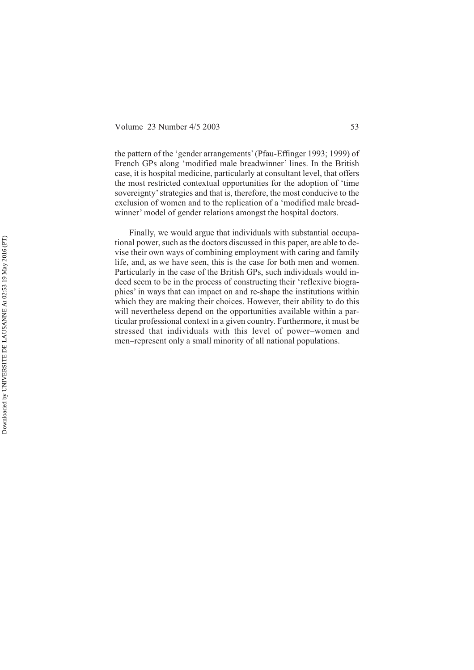#### Volume 23 Number 4/5 2003 53

the pattern of the 'gender arrangements' (Pfau-Effinger 1993; 1999) of French GPs along 'modified male breadwinner' lines. In the British case, it is hospital medicine, particularly at consultant level, that offers the most restricted contextual opportunities for the adoption of 'time sovereignty' strategies and that is, therefore, the most conducive to the exclusion of women and to the replication of a 'modified male breadwinner' model of gender relations amongst the hospital doctors.

Finally, we would argue that individuals with substantial occupational power, such as the doctors discussed in this paper, are able to devise their own ways of combining employment with caring and family life, and, as we have seen, this is the case for both men and women. Particularly in the case of the British GPs, such individuals would indeed seem to be in the process of constructing their 'reflexive biographies' in ways that can impact on and re-shape the institutions within which they are making their choices. However, their ability to do this will nevertheless depend on the opportunities available within a particular professional context in a given country. Furthermore, it must be stressed that individuals with this level of power–women and men–represent only a small minority of all national populations.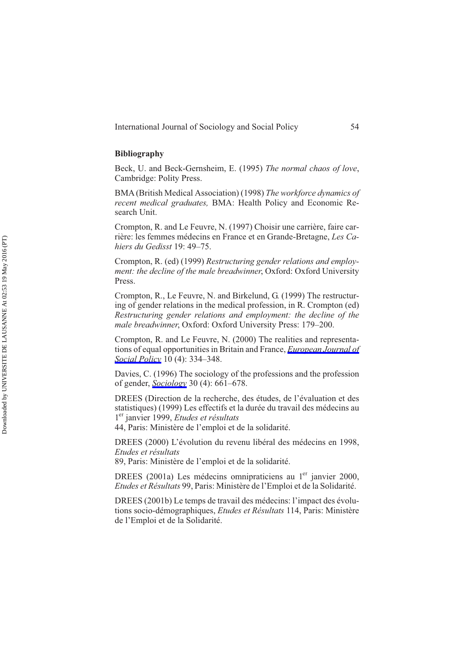#### **Bibliography**

Beck, U. and Beck-Gernsheim, E. (1995) *The normal chaos of love*, Cambridge: Polity Press.

BMA (British Medical Association) (1998) *The workforce dynamics of recent medical graduates,* BMA: Health Policy and Economic Research Unit.

Crompton, R. and Le Feuvre, N. (1997) Choisir une carrière, faire carrière: les femmes médecins en France et en Grande-Bretagne, *Les Cahiers du Gedisst* 19: 49–75.

Crompton, R. (ed) (1999) *Restructuring gender relations and employment: the decline of the male breadwinner*, Oxford: Oxford University Press.

Crompton, R., Le Feuvre, N. and Birkelund, G. (1999) The restructuring of gender relations in the medical profession, in R. Crompton (ed) *Restructuring gender relations and employment: the decline of the male breadwinner*, Oxford: Oxford University Press: 179–200.

Crompton, R. and Le Feuvre, N. (2000) The realities and representations of equal opportunities in Britain and France, *[European Journal of](http://www.emeraldinsight.com/action/showLinks?isi=000165596200002) [Social Policy](http://www.emeraldinsight.com/action/showLinks?isi=000165596200002)* 10 (4): 334–348.

Davies, C. (1996) The sociology of the professions and the profession of gender, *[Sociology](http://www.emeraldinsight.com/action/showLinks?crossref=10.1177%2F0038038596030004003)* 30 (4): 661–678.

DREES (Direction de la recherche, des études, de l'évaluation et des statistiques) (1999) Les effectifs et la durée du travail des médecins au 1er janvier 1999, *Etudes et résultats*

44, Paris: Ministère de l'emploi et de la solidarité.

DREES (2000) L'évolution du revenu libéral des médecins en 1998, *Etudes et résultats*

89, Paris: Ministère de l'emploi et de la solidarité.

DREES (2001a) Les médecins omnipraticiens au  $1<sup>er</sup>$  janvier 2000, *Etudes et Résultats* 99, Paris: Ministère de l'Emploi et de la Solidarité.

DREES (2001b) Le temps de travail des médecins: l'impact des évolutions socio-démographiques, *Etudes et Résultats* 114, Paris: Ministère de l'Emploi et de la Solidarité.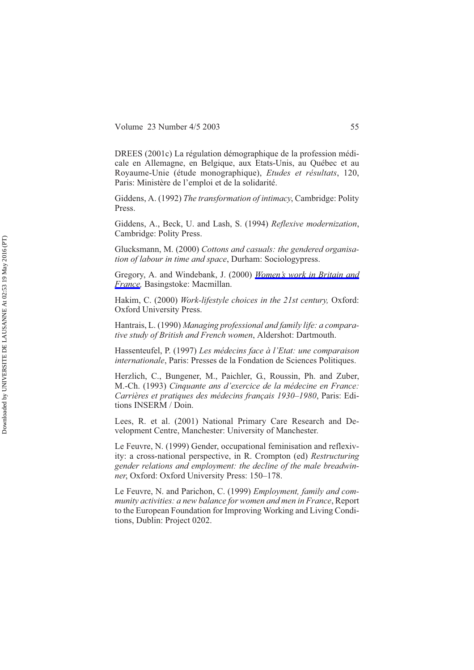Volume 23 Number 4/5 2003 55

DREES (2001c) La régulation démographique de la profession médicale en Allemagne, en Belgique, aux Etats-Unis, au Québec et au Royaume-Unie (étude monographique), *Etudes et résultats*, 120, Paris: Ministère de l'emploi et de la solidarité.

Giddens, A. (1992) *The transformation of intimacy*, Cambridge: Polity Press.

Giddens, A., Beck, U. and Lash, S. (1994) *Reflexive modernization*, Cambridge: Polity Press.

Glucksmann, M. (2000) *Cottons and casuals: the gendered organisation of labour in time and space*, Durham: Sociologypress.

Gregory, A. and Windebank, J. (2000) *[Women's work in Britain and](http://www.emeraldinsight.com/action/showLinks?crossref=10.1057%2F9780230598515) [France,](http://www.emeraldinsight.com/action/showLinks?crossref=10.1057%2F9780230598515)* Basingstoke: Macmillan.

Hakim, C. (2000) *Work-lifestyle choices in the 21st century,* Oxford: Oxford University Press.

Hantrais, L. (1990) *Managing professional and family life: a comparative study of British and French women*, Aldershot: Dartmouth.

Hassenteufel, P. (1997) *Les médecins face à l'Etat: une comparaison internationale*, Paris: Presses de la Fondation de Sciences Politiques.

Herzlich, C., Bungener, M., Paichler, G., Roussin, Ph. and Zuber, M.-Ch. (1993) *Cinquante ans d'exercice de la médecine en France: Carrières et pratiques des médecins français 1930–1980*, Paris: Editions INSERM / Doin.

Lees, R. et al. (2001) National Primary Care Research and Development Centre, Manchester: University of Manchester.

Le Feuvre, N. (1999) Gender, occupational feminisation and reflexivity: a cross-national perspective, in R. Crompton (ed) *Restructuring gender relations and employment: the decline of the male breadwinner*, Oxford: Oxford University Press: 150–178.

Le Feuvre, N. and Parichon, C. (1999) *Employment, family and community activities: a new balance for women and men in France*, Report to the European Foundation for Improving Working and Living Conditions, Dublin: Project 0202.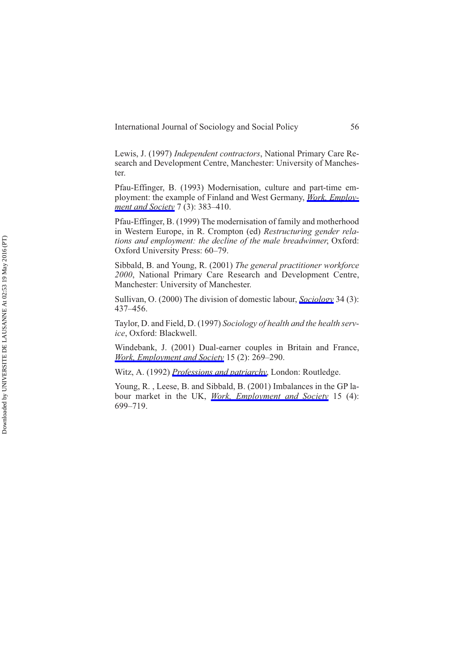Lewis, J. (1997) *Independent contractors*, National Primary Care Research and Development Centre, Manchester: University of Manchester.

Pfau-Effinger, B. (1993) Modernisation, culture and part-time employment: the example of Finland and West Germany, *[Work, Employ](http://www.emeraldinsight.com/action/showLinks?crossref=10.1177%2F0950017093007003004&isi=A1993LV11900003)[ment and Society](http://www.emeraldinsight.com/action/showLinks?crossref=10.1177%2F0950017093007003004&isi=A1993LV11900003)* 7 (3): 383–410.

Pfau-Effinger, B. (1999) The modernisation of family and motherhood in Western Europe, in R. Crompton (ed) *Restructuring gender relations and employment: the decline of the male breadwinner*, Oxford: Oxford University Press: 60–79.

Sibbald, B. and Young, R. (2001) *The general practitioner workforce 2000*, National Primary Care Research and Development Centre, Manchester: University of Manchester.

Sullivan, O. (2000) The division of domestic labour, *[Sociology](http://www.emeraldinsight.com/action/showLinks?crossref=10.1177%2FS0038038500000286)* 34 (3): 437–456.

Taylor, D. and Field, D. (1997) *Sociology of health and the health service*, Oxford: Blackwell.

Windebank, J. (2001) Dual-earner couples in Britain and France, *[Work, Employment and Society](http://www.emeraldinsight.com/action/showLinks?crossref=10.1177%2F09500170122118959&isi=000169189300004)* 15 (2): 269–290.

Witz, A. (1992) *[Professions and patriarchy](http://www.emeraldinsight.com/action/showLinks?crossref=10.4324%2F9780203167786)*, London: Routledge.

Young, R. , Leese, B. and Sibbald, B. (2001) Imbalances in the GP labour market in the UK, *[Work, Employment and Society](http://www.emeraldinsight.com/action/showLinks?crossref=10.1177%2F095001701400438161&isi=000174124500002)* 15 (4): 699–719.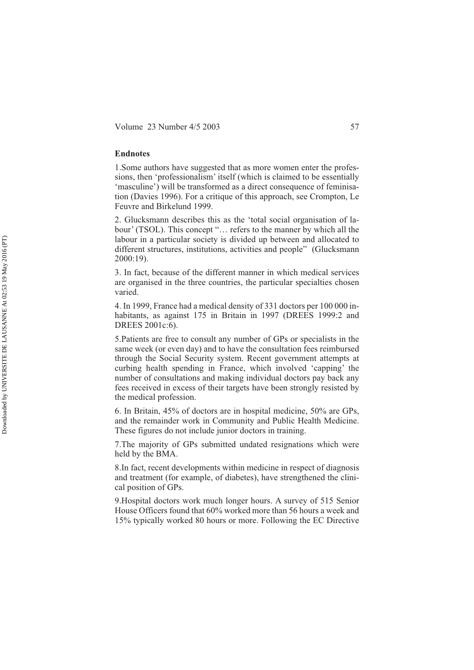#### **Endnotes**

1.Some authors have suggested that as more women enter the professions, then 'professionalism' itself (which is claimed to be essentially 'masculine') will be transformed as a direct consequence of feminisation (Davies 1996). For a critique of this approach, see Crompton, Le Feuvre and Birkelund 1999.

2. Glucksmann describes this as the 'total social organisation of labour' (TSOL). This concept "… refers to the manner by which all the labour in a particular society is divided up between and allocated to different structures, institutions, activities and people" (Glucksmann 2000:19).

3. In fact, because of the different manner in which medical services are organised in the three countries, the particular specialties chosen varied.

4. In 1999, France had a medical density of 331 doctors per 100 000 inhabitants, as against 175 in Britain in 1997 (DREES 1999:2 and DREES 2001c:6).

5.Patients are free to consult any number of GPs or specialists in the same week (or even day) and to have the consultation fees reimbursed through the Social Security system. Recent government attempts at curbing health spending in France, which involved 'capping' the number of consultations and making individual doctors pay back any fees received in excess of their targets have been strongly resisted by the medical profession.

6. In Britain, 45% of doctors are in hospital medicine, 50% are GPs, and the remainder work in Community and Public Health Medicine. These figures do not include junior doctors in training.

7.The majority of GPs submitted undated resignations which were held by the BMA.

8.In fact, recent developments within medicine in respect of diagnosis and treatment (for example, of diabetes), have strengthened the clinical position of GPs.

9.Hospital doctors work much longer hours. A survey of 515 Senior House Officers found that 60% worked more than 56 hours a week and 15% typically worked 80 hours or more. Following the EC Directive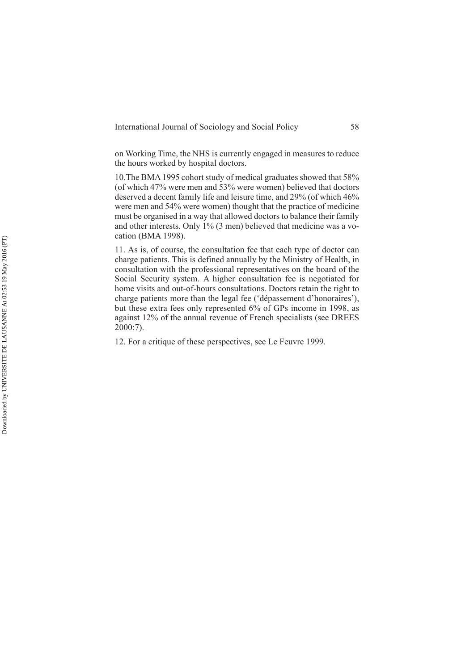on Working Time, the NHS is currently engaged in measures to reduce the hours worked by hospital doctors.

10.The BMA 1995 cohort study of medical graduates showed that 58% (of which 47% were men and 53% were women) believed that doctors deserved a decent family life and leisure time, and 29% (of which 46% were men and 54% were women) thought that the practice of medicine must be organised in a way that allowed doctors to balance their family and other interests. Only 1% (3 men) believed that medicine was a vocation (BMA 1998).

11. As is, of course, the consultation fee that each type of doctor can charge patients. This is defined annually by the Ministry of Health, in consultation with the professional representatives on the board of the Social Security system. A higher consultation fee is negotiated for home visits and out-of-hours consultations. Doctors retain the right to charge patients more than the legal fee ('dépassement d'honoraires'), but these extra fees only represented 6% of GPs income in 1998, as against 12% of the annual revenue of French specialists (see DREES 2000:7).

12. For a critique of these perspectives, see Le Feuvre 1999.